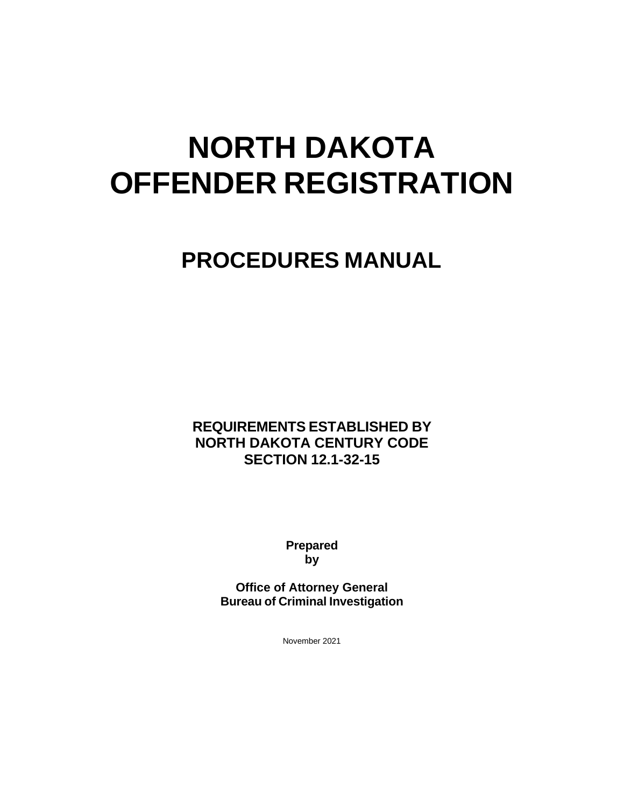# **NORTH DAKOTA OFFENDER REGISTRATION**

## **PROCEDURES MANUAL**

**REQUIREMENTS ESTABLISHED BY NORTH DAKOTA CENTURY CODE SECTION 12.1-32-15**

> **Prepared by**

**Office of Attorney General Bureau of Criminal Investigation**

November 2021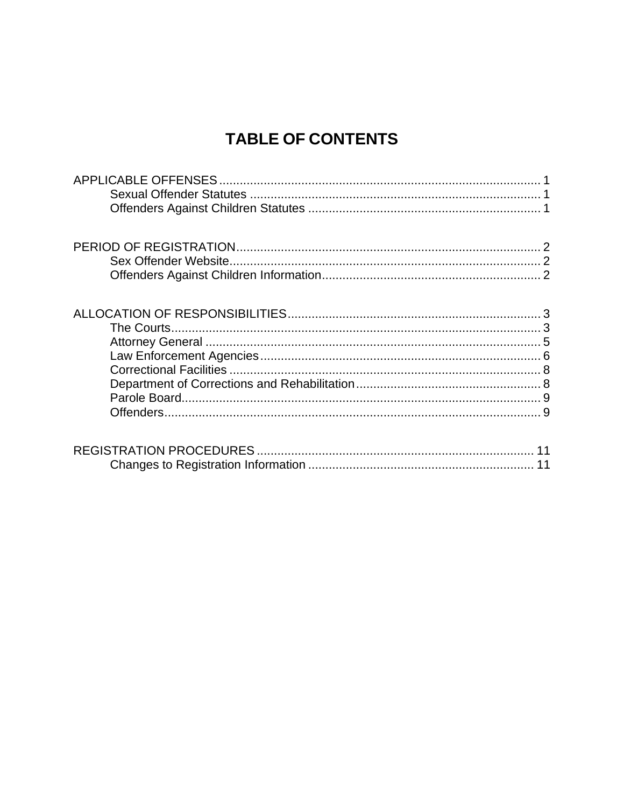## **TABLE OF CONTENTS**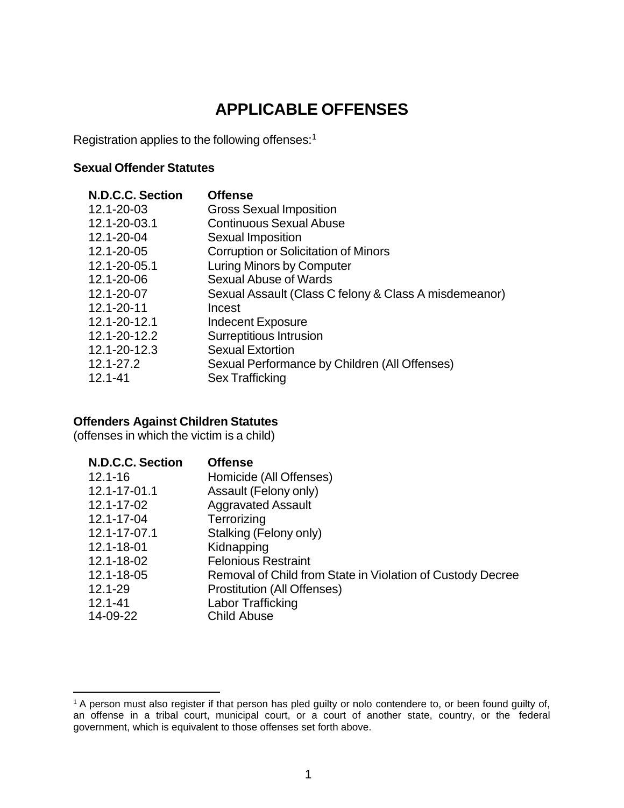## **APPLICABLE OFFENSES**

<span id="page-2-0"></span>Registration applies to the following offenses:[1](#page-2-3)

#### <span id="page-2-1"></span>**Sexual Offender Statutes**

| <b>Offense</b>                                        |
|-------------------------------------------------------|
| <b>Gross Sexual Imposition</b>                        |
| <b>Continuous Sexual Abuse</b>                        |
| Sexual Imposition                                     |
| Corruption or Solicitation of Minors                  |
| <b>Luring Minors by Computer</b>                      |
| <b>Sexual Abuse of Wards</b>                          |
| Sexual Assault (Class C felony & Class A misdemeanor) |
| Incest                                                |
| <b>Indecent Exposure</b>                              |
| Surreptitious Intrusion                               |
| <b>Sexual Extortion</b>                               |
| Sexual Performance by Children (All Offenses)         |
| Sex Trafficking                                       |
|                                                       |

#### <span id="page-2-2"></span>**Offenders Against Children Statutes**

(offenses in which the victim is a child)

| <b>N.D.C.C. Section</b> | <b>Offense</b>                                             |
|-------------------------|------------------------------------------------------------|
| $12.1 - 16$             | Homicide (All Offenses)                                    |
| 12.1-17-01.1            | Assault (Felony only)                                      |
| 12.1-17-02              | <b>Aggravated Assault</b>                                  |
| 12.1-17-04              | Terrorizing                                                |
| 12.1-17-07.1            | Stalking (Felony only)                                     |
| 12.1-18-01              | Kidnapping                                                 |
| 12.1-18-02              | <b>Felonious Restraint</b>                                 |
| 12.1-18-05              | Removal of Child from State in Violation of Custody Decree |
| 12.1-29                 | <b>Prostitution (All Offenses)</b>                         |
| $12.1 - 41$             | Labor Trafficking                                          |
| 14-09-22                | <b>Child Abuse</b>                                         |

<span id="page-2-3"></span><sup>&</sup>lt;sup>1</sup> A person must also register if that person has pled guilty or nolo contendere to, or been found guilty of, an offense in a tribal court, municipal court, or a court of another state, country, or the federal government, which is equivalent to those offenses set forth above.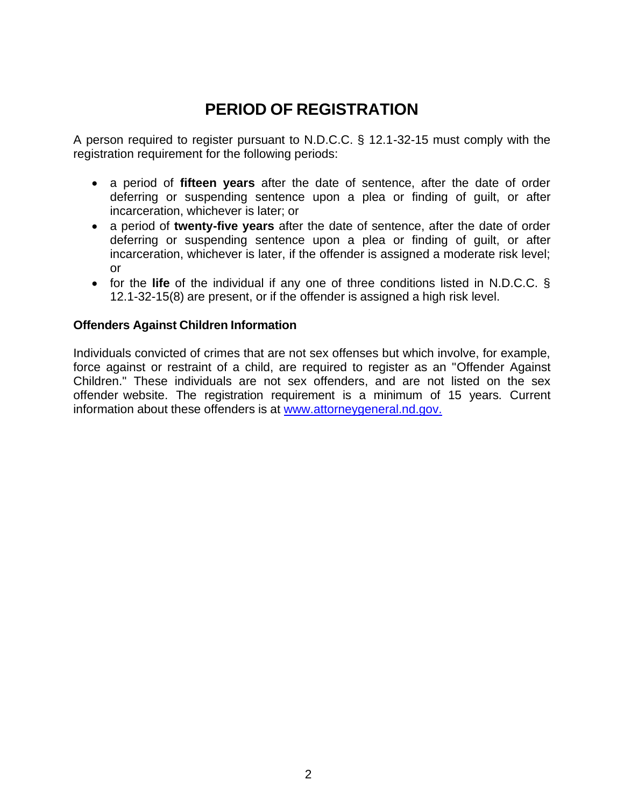## **PERIOD OF REGISTRATION**

<span id="page-3-0"></span>A person required to register pursuant to N.D.C.C. § 12.1-32-15 must comply with the registration requirement for the following periods:

- a period of **fifteen years** after the date of sentence, after the date of order deferring or suspending sentence upon a plea or finding of guilt, or after incarceration, whichever is later; or
- a period of **twenty-five years** after the date of sentence, after the date of order deferring or suspending sentence upon a plea or finding of guilt, or after incarceration, whichever is later, if the offender is assigned a moderate risk level; or
- for the **life** of the individual if any one of three conditions listed in N.D.C.C. § 12.1-32-15(8) are present, or if the offender is assigned a high risk level.

#### <span id="page-3-1"></span>**Offenders Against Children Information**

Individuals convicted of crimes that are not sex offenses but which involve, for example, force against or restraint of a child, are required to register as an "Offender Against Children." These individuals are not sex offenders, and are not listed on the sex offender website. The registration requirement is a minimum of 15 years. Current information about these offenders is at [www.attorneygeneral.nd.gov.](http://www.attorneygeneral.nd.gov/)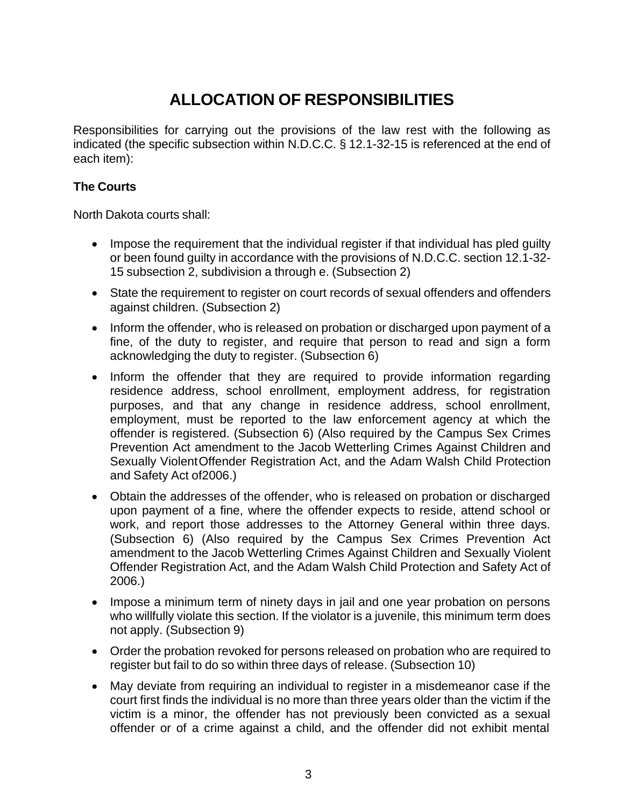## **ALLOCATION OF RESPONSIBILITIES**

<span id="page-4-0"></span>Responsibilities for carrying out the provisions of the law rest with the following as indicated (the specific subsection within N.D.C.C. § 12.1-32-15 is referenced at the end of each item):

#### <span id="page-4-1"></span>**The Courts**

North Dakota courts shall:

- Impose the requirement that the individual register if that individual has pled quilty or been found guilty in accordance with the provisions of N.D.C.C. section 12.1-32- 15 subsection 2, subdivision a through e. (Subsection 2)
- State the requirement to register on court records of sexual offenders and offenders against children. (Subsection 2)
- Inform the offender, who is released on probation or discharged upon payment of a fine, of the duty to register, and require that person to read and sign a form acknowledging the duty to register. (Subsection 6)
- Inform the offender that they are required to provide information regarding residence address, school enrollment, employment address, for registration purposes, and that any change in residence address, school enrollment, employment, must be reported to the law enforcement agency at which the offender is registered. (Subsection 6) (Also required by the Campus Sex Crimes Prevention Act amendment to the Jacob Wetterling Crimes Against Children and Sexually ViolentOffender Registration Act, and the Adam Walsh Child Protection and Safety Act of2006.)
- Obtain the addresses of the offender, who is released on probation or discharged upon payment of a fine, where the offender expects to reside, attend school or work, and report those addresses to the Attorney General within three days. (Subsection 6) (Also required by the Campus Sex Crimes Prevention Act amendment to the Jacob Wetterling Crimes Against Children and Sexually Violent Offender Registration Act, and the Adam Walsh Child Protection and Safety Act of 2006.)
- Impose a minimum term of ninety days in jail and one year probation on persons who willfully violate this section. If the violator is a juvenile, this minimum term does not apply. (Subsection 9)
- Order the probation revoked for persons released on probation who are required to register but fail to do so within three days of release. (Subsection 10)
- May deviate from requiring an individual to register in a misdemeanor case if the court first finds the individual is no more than three years older than the victim if the victim is a minor, the offender has not previously been convicted as a sexual offender or of a crime against a child, and the offender did not exhibit mental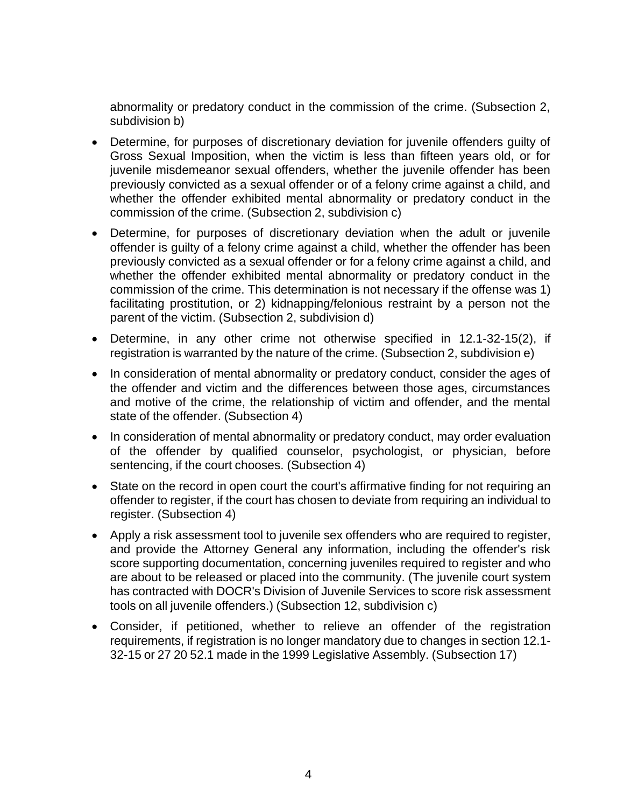abnormality or predatory conduct in the commission of the crime. (Subsection 2, subdivision b)

- Determine, for purposes of discretionary deviation for juvenile offenders guilty of Gross Sexual Imposition, when the victim is less than fifteen years old, or for juvenile misdemeanor sexual offenders, whether the juvenile offender has been previously convicted as a sexual offender or of a felony crime against a child, and whether the offender exhibited mental abnormality or predatory conduct in the commission of the crime. (Subsection 2, subdivision c)
- Determine, for purposes of discretionary deviation when the adult or juvenile offender is guilty of a felony crime against a child, whether the offender has been previously convicted as a sexual offender or for a felony crime against a child, and whether the offender exhibited mental abnormality or predatory conduct in the commission of the crime. This determination is not necessary if the offense was 1) facilitating prostitution, or 2) kidnapping/felonious restraint by a person not the parent of the victim. (Subsection 2, subdivision d)
- Determine, in any other crime not otherwise specified in 12.1-32-15(2), if registration is warranted by the nature of the crime. (Subsection 2, subdivision e)
- In consideration of mental abnormality or predatory conduct, consider the ages of the offender and victim and the differences between those ages, circumstances and motive of the crime, the relationship of victim and offender, and the mental state of the offender. (Subsection 4)
- In consideration of mental abnormality or predatory conduct, may order evaluation of the offender by qualified counselor, psychologist, or physician, before sentencing, if the court chooses. (Subsection 4)
- State on the record in open court the court's affirmative finding for not requiring an offender to register, if the court has chosen to deviate from requiring an individual to register. (Subsection 4)
- Apply a risk assessment tool to juvenile sex offenders who are required to register, and provide the Attorney General any information, including the offender's risk score supporting documentation, concerning juveniles required to register and who are about to be released or placed into the community. (The juvenile court system has contracted with DOCR's Division of Juvenile Services to score risk assessment tools on all juvenile offenders.) (Subsection 12, subdivision c)
- Consider, if petitioned, whether to relieve an offender of the registration requirements, if registration is no longer mandatory due to changes in section 12.1- 32-15 or 27 20 52.1 made in the 1999 Legislative Assembly. (Subsection 17)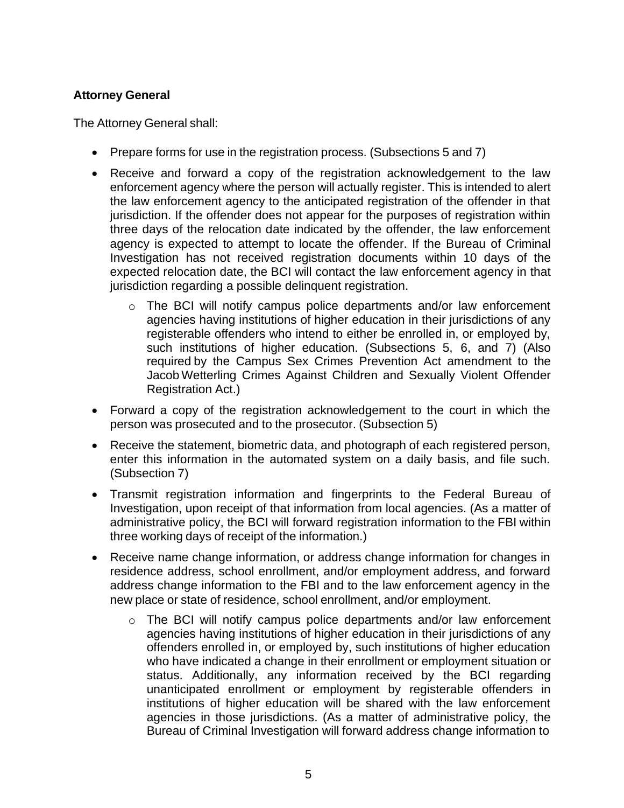#### <span id="page-6-0"></span>**Attorney General**

The Attorney General shall:

- Prepare forms for use in the registration process. (Subsections 5 and 7)
- Receive and forward a copy of the registration acknowledgement to the law enforcement agency where the person will actually register. This is intended to alert the law enforcement agency to the anticipated registration of the offender in that jurisdiction. If the offender does not appear for the purposes of registration within three days of the relocation date indicated by the offender, the law enforcement agency is expected to attempt to locate the offender. If the Bureau of Criminal Investigation has not received registration documents within 10 days of the expected relocation date, the BCI will contact the law enforcement agency in that jurisdiction regarding a possible delinquent registration.
	- o The BCI will notify campus police departments and/or law enforcement agencies having institutions of higher education in their jurisdictions of any registerable offenders who intend to either be enrolled in, or employed by, such institutions of higher education. (Subsections 5, 6, and 7) (Also required by the Campus Sex Crimes Prevention Act amendment to the Jacob Wetterling Crimes Against Children and Sexually Violent Offender Registration Act.)
- Forward a copy of the registration acknowledgement to the court in which the person was prosecuted and to the prosecutor. (Subsection 5)
- Receive the statement, biometric data, and photograph of each registered person, enter this information in the automated system on a daily basis, and file such. (Subsection 7)
- Transmit registration information and fingerprints to the Federal Bureau of Investigation, upon receipt of that information from local agencies. (As a matter of administrative policy, the BCI will forward registration information to the FBI within three working days of receipt of the information.)
- Receive name change information, or address change information for changes in residence address, school enrollment, and/or employment address, and forward address change information to the FBI and to the law enforcement agency in the new place or state of residence, school enrollment, and/or employment.
	- o The BCI will notify campus police departments and/or law enforcement agencies having institutions of higher education in their jurisdictions of any offenders enrolled in, or employed by, such institutions of higher education who have indicated a change in their enrollment or employment situation or status. Additionally, any information received by the BCI regarding unanticipated enrollment or employment by registerable offenders in institutions of higher education will be shared with the law enforcement agencies in those jurisdictions. (As a matter of administrative policy, the Bureau of Criminal Investigation will forward address change information to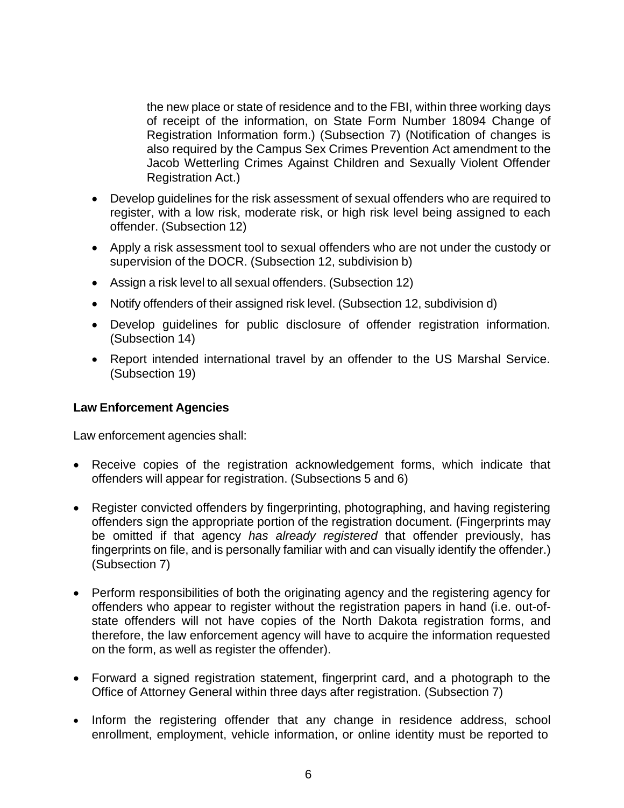the new place or state of residence and to the FBI, within three working days of receipt of the information, on State Form Number 18094 Change of Registration Information form.) (Subsection 7) (Notification of changes is also required by the Campus Sex Crimes Prevention Act amendment to the Jacob Wetterling Crimes Against Children and Sexually Violent Offender Registration Act.)

- Develop guidelines for the risk assessment of sexual offenders who are required to register, with a low risk, moderate risk, or high risk level being assigned to each offender. (Subsection 12)
- Apply a risk assessment tool to sexual offenders who are not under the custody or supervision of the DOCR. (Subsection 12, subdivision b)
- Assign a risk level to all sexual offenders. (Subsection 12)
- Notify offenders of their assigned risk level. (Subsection 12, subdivision d)
- Develop guidelines for public disclosure of offender registration information. (Subsection 14)
- Report intended international travel by an offender to the US Marshal Service. (Subsection 19)

#### <span id="page-7-0"></span>**Law Enforcement Agencies**

Law enforcement agencies shall:

- Receive copies of the registration acknowledgement forms, which indicate that offenders will appear for registration. (Subsections 5 and 6)
- Register convicted offenders by fingerprinting, photographing, and having registering offenders sign the appropriate portion of the registration document. (Fingerprints may be omitted if that agency *has already registered* that offender previously, has fingerprints on file, and is personally familiar with and can visually identify the offender.) (Subsection 7)
- Perform responsibilities of both the originating agency and the registering agency for offenders who appear to register without the registration papers in hand (i.e. out-ofstate offenders will not have copies of the North Dakota registration forms, and therefore, the law enforcement agency will have to acquire the information requested on the form, as well as register the offender).
- Forward a signed registration statement, fingerprint card, and a photograph to the Office of Attorney General within three days after registration. (Subsection 7)
- Inform the registering offender that any change in residence address, school enrollment, employment, vehicle information, or online identity must be reported to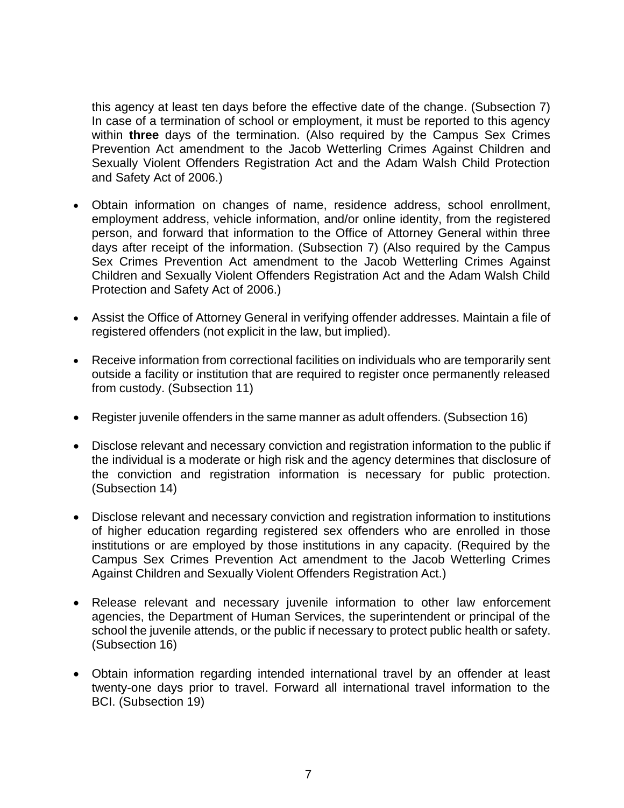this agency at least ten days before the effective date of the change. (Subsection 7) In case of a termination of school or employment, it must be reported to this agency within **three** days of the termination. (Also required by the Campus Sex Crimes Prevention Act amendment to the Jacob Wetterling Crimes Against Children and Sexually Violent Offenders Registration Act and the Adam Walsh Child Protection and Safety Act of 2006.)

- Obtain information on changes of name, residence address, school enrollment, employment address, vehicle information, and/or online identity, from the registered person, and forward that information to the Office of Attorney General within three days after receipt of the information. (Subsection 7) (Also required by the Campus Sex Crimes Prevention Act amendment to the Jacob Wetterling Crimes Against Children and Sexually Violent Offenders Registration Act and the Adam Walsh Child Protection and Safety Act of 2006.)
- Assist the Office of Attorney General in verifying offender addresses. Maintain a file of registered offenders (not explicit in the law, but implied).
- Receive information from correctional facilities on individuals who are temporarily sent outside a facility or institution that are required to register once permanently released from custody. (Subsection 11)
- Register juvenile offenders in the same manner as adult offenders. (Subsection 16)
- Disclose relevant and necessary conviction and registration information to the public if the individual is a moderate or high risk and the agency determines that disclosure of the conviction and registration information is necessary for public protection. (Subsection 14)
- Disclose relevant and necessary conviction and registration information to institutions of higher education regarding registered sex offenders who are enrolled in those institutions or are employed by those institutions in any capacity. (Required by the Campus Sex Crimes Prevention Act amendment to the Jacob Wetterling Crimes Against Children and Sexually Violent Offenders Registration Act.)
- Release relevant and necessary juvenile information to other law enforcement agencies, the Department of Human Services, the superintendent or principal of the school the juvenile attends, or the public if necessary to protect public health or safety. (Subsection 16)
- Obtain information regarding intended international travel by an offender at least twenty-one days prior to travel. Forward all international travel information to the BCI. (Subsection 19)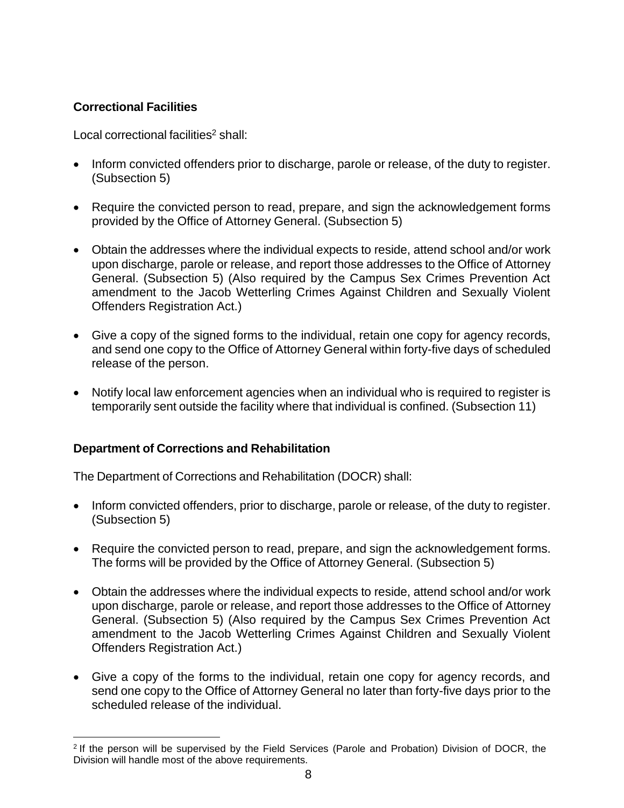#### <span id="page-9-0"></span>**Correctional Facilities**

Local correctional facilities<sup>[2](#page-9-2)</sup> shall:

- Inform convicted offenders prior to discharge, parole or release, of the duty to register. (Subsection 5)
- Require the convicted person to read, prepare, and sign the acknowledgement forms provided by the Office of Attorney General. (Subsection 5)
- Obtain the addresses where the individual expects to reside, attend school and/or work upon discharge, parole or release, and report those addresses to the Office of Attorney General. (Subsection 5) (Also required by the Campus Sex Crimes Prevention Act amendment to the Jacob Wetterling Crimes Against Children and Sexually Violent Offenders Registration Act.)
- Give a copy of the signed forms to the individual, retain one copy for agency records, and send one copy to the Office of Attorney General within forty-five days of scheduled release of the person.
- Notify local law enforcement agencies when an individual who is required to register is temporarily sent outside the facility where that individual is confined. (Subsection 11)

#### <span id="page-9-1"></span>**Department of Corrections and Rehabilitation**

The Department of Corrections and Rehabilitation (DOCR) shall:

- Inform convicted offenders, prior to discharge, parole or release, of the duty to register. (Subsection 5)
- Require the convicted person to read, prepare, and sign the acknowledgement forms. The forms will be provided by the Office of Attorney General. (Subsection 5)
- Obtain the addresses where the individual expects to reside, attend school and/or work upon discharge, parole or release, and report those addresses to the Office of Attorney General. (Subsection 5) (Also required by the Campus Sex Crimes Prevention Act amendment to the Jacob Wetterling Crimes Against Children and Sexually Violent Offenders Registration Act.)
- Give a copy of the forms to the individual, retain one copy for agency records, and send one copy to the Office of Attorney General no later than forty-five days prior to the scheduled release of the individual.

<span id="page-9-2"></span><sup>&</sup>lt;sup>2</sup> If the person will be supervised by the Field Services (Parole and Probation) Division of DOCR, the Division will handle most of the above requirements.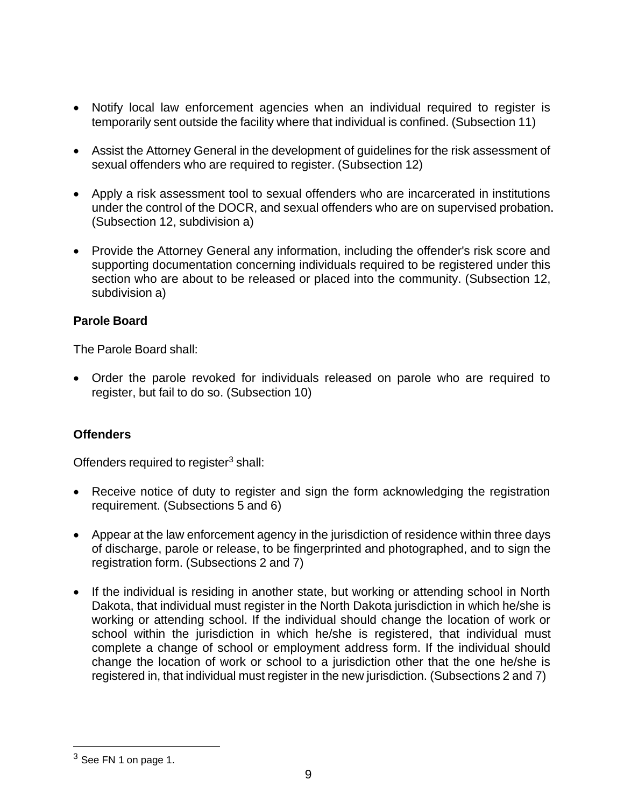- Notify local law enforcement agencies when an individual required to register is temporarily sent outside the facility where that individual is confined. (Subsection 11)
- Assist the Attorney General in the development of guidelines for the risk assessment of sexual offenders who are required to register. (Subsection 12)
- Apply a risk assessment tool to sexual offenders who are incarcerated in institutions under the control of the DOCR, and sexual offenders who are on supervised probation. (Subsection 12, subdivision a)
- Provide the Attorney General any information, including the offender's risk score and supporting documentation concerning individuals required to be registered under this section who are about to be released or placed into the community. (Subsection 12, subdivision a)

#### <span id="page-10-0"></span>**Parole Board**

The Parole Board shall:

• Order the parole revoked for individuals released on parole who are required to register, but fail to do so. (Subsection 10)

#### <span id="page-10-1"></span>**Offenders**

Offenders required to register $3$  shall:

- Receive notice of duty to register and sign the form acknowledging the registration requirement. (Subsections 5 and 6)
- Appear at the law enforcement agency in the jurisdiction of residence within three days of discharge, parole or release, to be fingerprinted and photographed, and to sign the registration form. (Subsections 2 and 7)
- If the individual is residing in another state, but working or attending school in North Dakota, that individual must register in the North Dakota jurisdiction in which he/she is working or attending school. If the individual should change the location of work or school within the jurisdiction in which he/she is registered, that individual must complete a change of school or employment address form. If the individual should change the location of work or school to a jurisdiction other that the one he/she is registered in, that individual must register in the new jurisdiction. (Subsections 2 and 7)

<span id="page-10-2"></span> $3$  See FN 1 on page 1.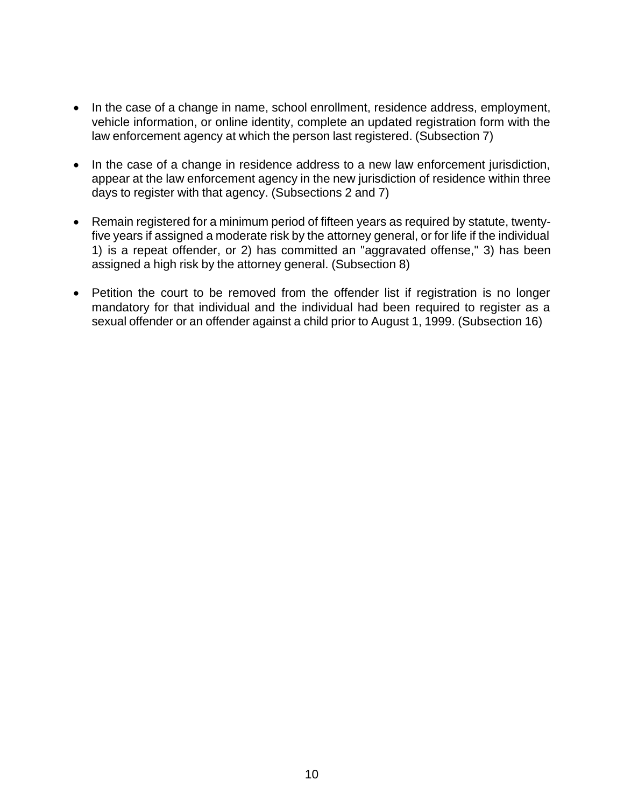- In the case of a change in name, school enrollment, residence address, employment, vehicle information, or online identity, complete an updated registration form with the law enforcement agency at which the person last registered. (Subsection 7)
- In the case of a change in residence address to a new law enforcement jurisdiction, appear at the law enforcement agency in the new jurisdiction of residence within three days to register with that agency. (Subsections 2 and 7)
- Remain registered for a minimum period of fifteen years as required by statute, twentyfive years if assigned a moderate risk by the attorney general, or for life if the individual 1) is a repeat offender, or 2) has committed an "aggravated offense," 3) has been assigned a high risk by the attorney general. (Subsection 8)
- Petition the court to be removed from the offender list if registration is no longer mandatory for that individual and the individual had been required to register as a sexual offender or an offender against a child prior to August 1, 1999. (Subsection 16)